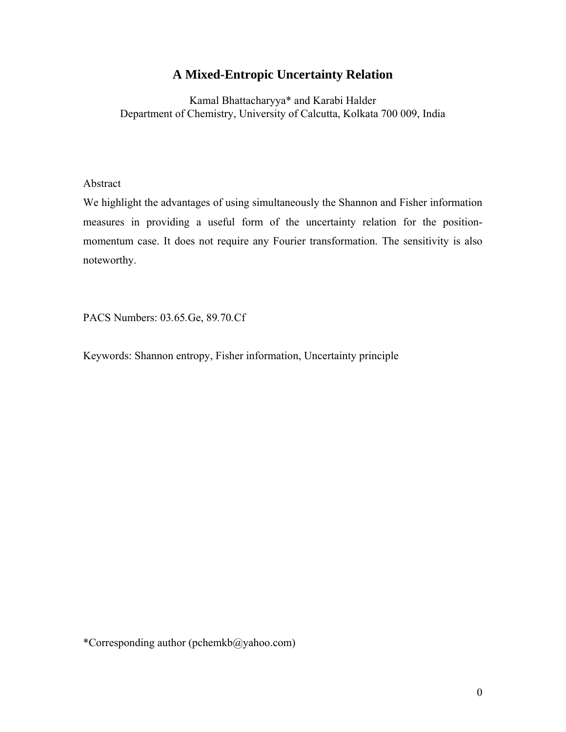# **A Mixed-Entropic Uncertainty Relation**

Kamal Bhattacharyya\* and Karabi Halder Department of Chemistry, University of Calcutta, Kolkata 700 009, India

Abstract

We highlight the advantages of using simultaneously the Shannon and Fisher information measures in providing a useful form of the uncertainty relation for the positionmomentum case. It does not require any Fourier transformation. The sensitivity is also noteworthy.

PACS Numbers: 03*.*65*.*Ge, 89*.*70*.*Cf

Keywords: Shannon entropy, Fisher information, Uncertainty principle

\*Corresponding author (pchemkb@yahoo.com)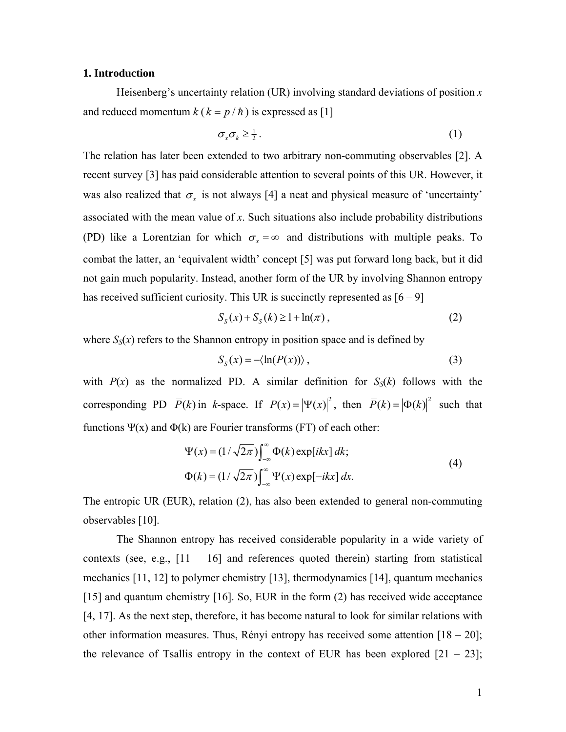### **1. Introduction**

 Heisenberg's uncertainty relation (UR) involving standard deviations of position *x* and reduced momentum  $k$  ( $k = p/h$ ) is expressed as [1]

$$
\sigma_x \sigma_k \geq \frac{1}{2} \,. \tag{1}
$$

The relation has later been extended to two arbitrary non-commuting observables [2]. A recent survey [3] has paid considerable attention to several points of this UR. However, it was also realized that  $\sigma_x$  is not always [4] a neat and physical measure of 'uncertainty' associated with the mean value of *x*. Such situations also include probability distributions (PD) like a Lorentzian for which  $\sigma_x = \infty$  and distributions with multiple peaks. To combat the latter, an 'equivalent width' concept [5] was put forward long back, but it did not gain much popularity. Instead, another form of the UR by involving Shannon entropy has received sufficient curiosity. This UR is succinctly represented as  $[6 - 9]$ 

$$
S_{S}(x) + S_{S}(k) \ge 1 + \ln(\pi), \qquad (2)
$$

where  $S_S(x)$  refers to the Shannon entropy in position space and is defined by

$$
S_{S}(x) = -\langle \ln(P(x)) \rangle , \qquad (3)
$$

with  $P(x)$  as the normalized PD. A similar definition for  $S<sub>S</sub>(k)$  follows with the corresponding PD  $\overline{P}(k)$  in *k*-space. If  $P(x) = |\Psi(x)|^2$ , then  $\overline{P}(k) = |\Phi(k)|^2$  such that functions  $\Psi(x)$  and  $\Phi(k)$  are Fourier transforms (FT) of each other:

$$
\Psi(x) = (1/\sqrt{2\pi}) \int_{-\infty}^{\infty} \Phi(k) \exp[i kx] dk; \n\Phi(k) = (1/\sqrt{2\pi}) \int_{-\infty}^{\infty} \Psi(x) \exp[-ikx] dx.
$$
\n(4)

The entropic UR (EUR), relation (2), has also been extended to general non-commuting observables [10].

 The Shannon entropy has received considerable popularity in a wide variety of contexts (see, e.g.,  $[11 - 16]$  and references quoted therein) starting from statistical mechanics [11, 12] to polymer chemistry [13], thermodynamics [14], quantum mechanics [15] and quantum chemistry [16]. So, EUR in the form (2) has received wide acceptance [4, 17]. As the next step, therefore, it has become natural to look for similar relations with other information measures. Thus, Rényi entropy has received some attention  $[18 - 20]$ ; the relevance of Tsallis entropy in the context of EUR has been explored  $[21 - 23]$ ;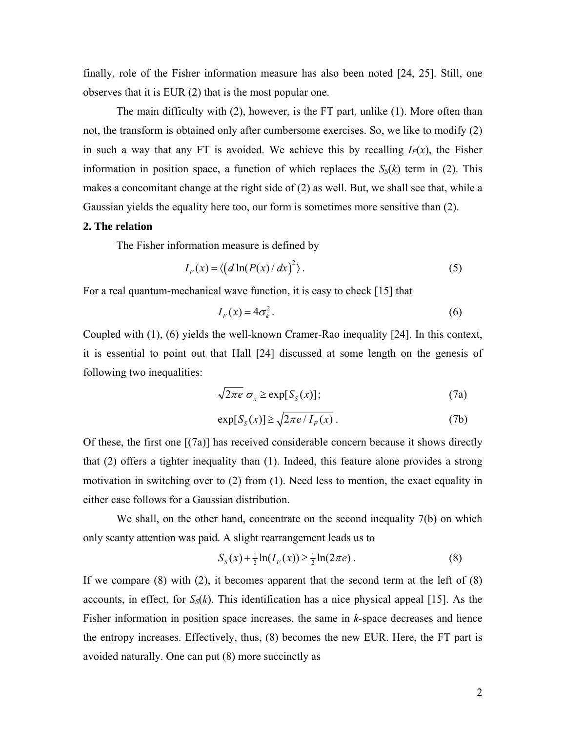finally, role of the Fisher information measure has also been noted [24, 25]. Still, one observes that it is EUR (2) that is the most popular one.

 The main difficulty with (2), however, is the FT part, unlike (1). More often than not, the transform is obtained only after cumbersome exercises. So, we like to modify (2) in such a way that any FT is avoided. We achieve this by recalling  $I_F(x)$ , the Fisher information in position space, a function of which replaces the  $S_{\rm S}(k)$  term in (2). This makes a concomitant change at the right side of (2) as well. But, we shall see that, while a Gaussian yields the equality here too, our form is sometimes more sensitive than (2).

## **2. The relation**

The Fisher information measure is defined by

$$
I_F(x) = \langle \left( d \ln(P(x)/dx)^2 \right) . \tag{5}
$$

For a real quantum-mechanical wave function, it is easy to check [15] that

$$
I_F(x) = 4\sigma_k^2. \tag{6}
$$

Coupled with (1), (6) yields the well-known Cramer-Rao inequality [24]. In this context, it is essential to point out that Hall [24] discussed at some length on the genesis of following two inequalities:

$$
\sqrt{2\pi e} \; \sigma_x \ge \exp[S_S(x)]; \tag{7a}
$$

$$
\exp[S_{S}(x)] \ge \sqrt{2\pi e / I_{F}(x)}\,. \tag{7b}
$$

Of these, the first one [(7a)] has received considerable concern because it shows directly that (2) offers a tighter inequality than (1). Indeed, this feature alone provides a strong motivation in switching over to (2) from (1). Need less to mention, the exact equality in either case follows for a Gaussian distribution.

We shall, on the other hand, concentrate on the second inequality 7(b) on which only scanty attention was paid. A slight rearrangement leads us to

$$
S_{S}(x) + \frac{1}{2}\ln(I_{F}(x)) \ge \frac{1}{2}\ln(2\pi e) \,.
$$
 (8)

If we compare  $(8)$  with  $(2)$ , it becomes apparent that the second term at the left of  $(8)$ accounts, in effect, for  $S_0(k)$ . This identification has a nice physical appeal [15]. As the Fisher information in position space increases, the same in *k*-space decreases and hence the entropy increases. Effectively, thus, (8) becomes the new EUR. Here, the FT part is avoided naturally. One can put (8) more succinctly as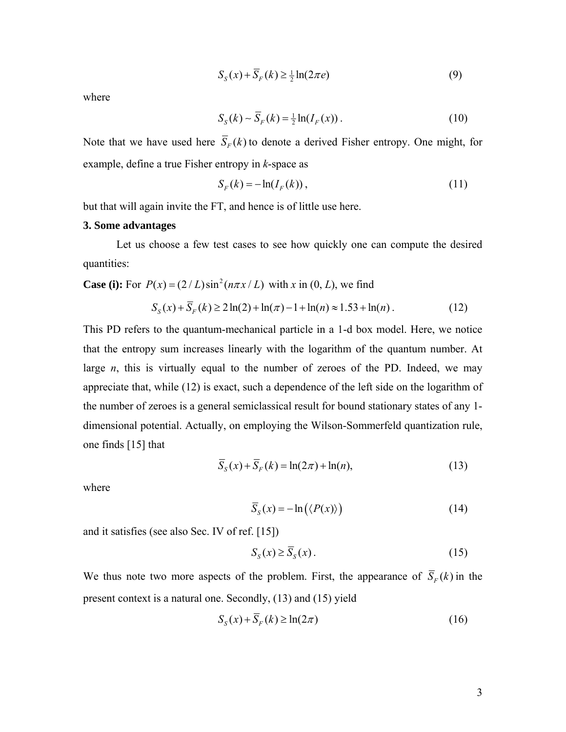$$
S_S(x) + S_F(k) \ge \frac{1}{2} \ln(2\pi e) \tag{9}
$$

where

$$
S_S(k) \sim \overline{S}_F(k) = \frac{1}{2} \ln(I_F(x)) \,. \tag{10}
$$

Note that we have used here  $\overline{S}_F(k)$  to denote a derived Fisher entropy. One might, for example, define a true Fisher entropy in *k*-space as

$$
S_F(k) = -\ln(I_F(k)),\tag{11}
$$

but that will again invite the FT, and hence is of little use here.

#### **3. Some advantages**

 Let us choose a few test cases to see how quickly one can compute the desired quantities:

**Case (i):** For  $P(x) = (2/L)\sin^2(n\pi x/L)$  with x in  $(0, L)$ , we find

$$
S_{S}(x) + \overline{S}_{F}(k) \ge 2\ln(2) + \ln(\pi) - 1 + \ln(n) \approx 1.53 + \ln(n). \tag{12}
$$

This PD refers to the quantum-mechanical particle in a 1-d box model. Here, we notice that the entropy sum increases linearly with the logarithm of the quantum number. At large *n*, this is virtually equal to the number of zeroes of the PD. Indeed, we may appreciate that, while (12) is exact, such a dependence of the left side on the logarithm of the number of zeroes is a general semiclassical result for bound stationary states of any 1 dimensional potential. Actually, on employing the Wilson-Sommerfeld quantization rule, one finds [15] that

$$
\overline{S}_S(x) + \overline{S}_F(k) = \ln(2\pi) + \ln(n),\tag{13}
$$

where

$$
\overline{S}_S(x) = -\ln(\langle P(x) \rangle)
$$
 (14)

and it satisfies (see also Sec. IV of ref. [15])

$$
S_{S}(x) \ge \overline{S}_{S}(x). \tag{15}
$$

We thus note two more aspects of the problem. First, the appearance of  $\overline{S}_F(k)$  in the present context is a natural one. Secondly, (13) and (15) yield

$$
S_{S}(x) + \overline{S}_{F}(k) \ge \ln(2\pi)
$$
\n(16)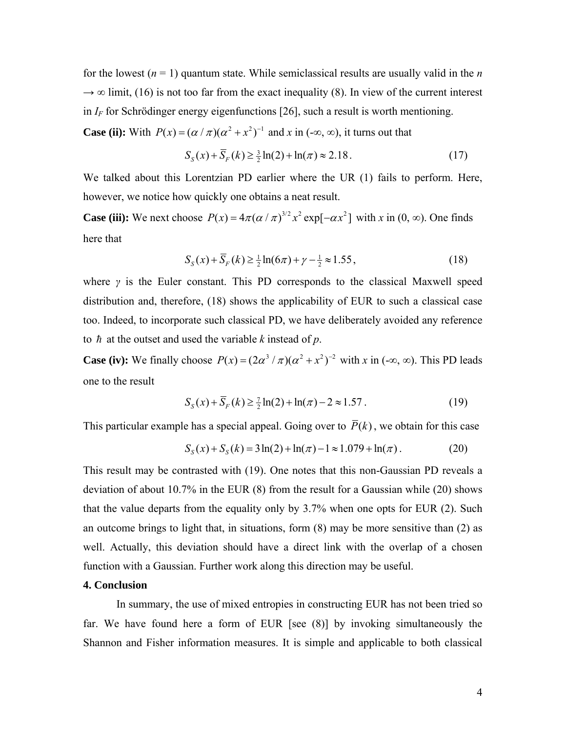for the lowest  $(n = 1)$  quantum state. While semiclassical results are usually valid in the *n*  $\rightarrow \infty$  limit, (16) is not too far from the exact inequality (8). In view of the current interest in  $I_F$  for Schrödinger energy eigenfunctions [26], such a result is worth mentioning.

**Case (ii):** With  $P(x) = (\alpha / \pi)(\alpha^2 + x^2)^{-1}$  and x in (-∞, ∞), it turns out that

$$
S_{S}(x) + S_{F}(k) \ge \frac{3}{2}\ln(2) + \ln(\pi) \approx 2.18. \tag{17}
$$

We talked about this Lorentzian PD earlier where the UR (1) fails to perform. Here, however, we notice how quickly one obtains a neat result.

**Case (iii):** We next choose  $P(x) = 4\pi (\alpha / \pi)^{3/2} x^2 \exp[-\alpha x^2]$  with x in  $(0, \infty)$ . One finds here that

$$
S_{S}(x) + \overline{S}_{F}(k) \ge \frac{1}{2} \ln(6\pi) + \gamma - \frac{1}{2} \approx 1.55, \tag{18}
$$

where *γ* is the Euler constant. This PD corresponds to the classical Maxwell speed distribution and, therefore, (18) shows the applicability of EUR to such a classical case too. Indeed, to incorporate such classical PD, we have deliberately avoided any reference to  $\hbar$  at the outset and used the variable *k* instead of  $p$ .

**Case (iv):** We finally choose  $P(x) = (2\alpha^3 / \pi)(\alpha^2 + x^2)^{-2}$  with x in  $(-\infty, \infty)$ . This PD leads one to the result

$$
S_{S}(x) + \overline{S}_{F}(k) \ge \frac{7}{2}\ln(2) + \ln(\pi) - 2 \approx 1.57
$$
 (19)

This particular example has a special appeal. Going over to  $\overline{P}(k)$ , we obtain for this case

$$
S_S(x) + S_S(k) = 3\ln(2) + \ln(\pi) - 1 \approx 1.079 + \ln(\pi). \tag{20}
$$

This result may be contrasted with (19). One notes that this non-Gaussian PD reveals a deviation of about 10.7% in the EUR (8) from the result for a Gaussian while (20) shows that the value departs from the equality only by 3.7% when one opts for EUR (2). Such an outcome brings to light that, in situations, form  $(8)$  may be more sensitive than  $(2)$  as well. Actually, this deviation should have a direct link with the overlap of a chosen function with a Gaussian. Further work along this direction may be useful.

#### **4. Conclusion**

 In summary, the use of mixed entropies in constructing EUR has not been tried so far. We have found here a form of EUR [see (8)] by invoking simultaneously the Shannon and Fisher information measures. It is simple and applicable to both classical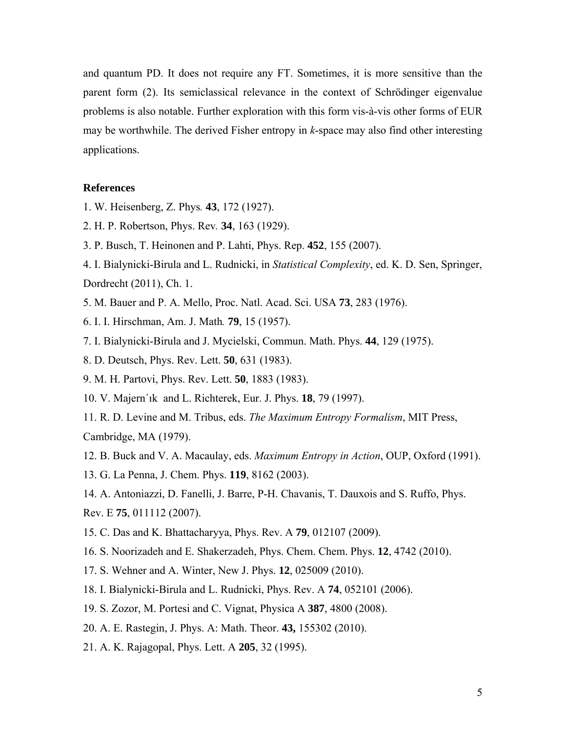and quantum PD. It does not require any FT. Sometimes, it is more sensitive than the parent form (2). Its semiclassical relevance in the context of Schrödinger eigenvalue problems is also notable. Further exploration with this form vis-à-vis other forms of EUR may be worthwhile. The derived Fisher entropy in *k*-space may also find other interesting applications.

#### **References**

- 1. W. Heisenberg, Z. Phys*.* **43**, 172 (1927).
- 2. H. P. Robertson, Phys. Rev*.* **34**, 163 (1929).
- 3. P. Busch, T. Heinonen and P. Lahti, Phys. Rep. **452**, 155 (2007).
- 4. I. Bialynicki-Birula and L. Rudnicki, in *Statistical Complexity*, ed. K. D. Sen, Springer, Dordrecht (2011), Ch. 1.
- 5. M. Bauer and P. A. Mello, Proc. Natl. Acad. Sci. USA **73**, 283 (1976).
- 6. I. I. Hirschman, Am. J. Math*.* **79**, 15 (1957).
- 7. I. Bialynicki-Birula and J. Mycielski, Commun. Math. Phys. **44**, 129 (1975).
- 8. D. Deutsch, Phys. Rev. Lett. **50**, 631 (1983).
- 9. M. H. Partovi, Phys. Rev. Lett. **50**, 1883 (1983).
- 10. V. Majern´ık and L. Richterek, Eur. J. Phys. **18**, 79 (1997).
- 11. R. D. Levine and M. Tribus, eds. *The Maximum Entropy Formalism*, MIT Press, Cambridge, MA (1979).
- 12. B. Buck and V. A. Macaulay, eds. *Maximum Entropy in Action*, OUP, Oxford (1991).
- 13. G. La Penna, J. Chem. Phys. **119**, 8162 (2003).
- 14. A. Antoniazzi, D. Fanelli, J. Barre, P-H. Chavanis, T. Dauxois and S. Ruffo, Phys.
- Rev. E **75**, 011112 (2007).
- 15. C. Das and K. Bhattacharyya, Phys. Rev. A **79**, 012107 (2009).
- 16. S. Noorizadeh and E. Shakerzadeh, Phys. Chem. Chem. Phys. **12**, 4742 (2010).
- 17. S. Wehner and A. Winter, New J. Phys. **12**, 025009 (2010).
- 18. I. Bialynicki-Birula and L. Rudnicki, Phys. Rev. A **74**, 052101 (2006).
- 19. S. Zozor, M. Portesi and C. Vignat, Physica A **387**, 4800 (2008).
- 20. A. E. Rastegin, J. Phys. A: Math. Theor. **43,** 155302 (2010).
- 21. A. K. Rajagopal, Phys. Lett. A **205**, 32 (1995).